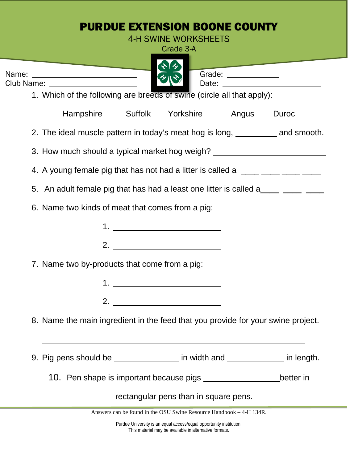|                                                                                       | Grade 3-A                               |  |           |
|---------------------------------------------------------------------------------------|-----------------------------------------|--|-----------|
| <b>Contract Contract Contract Contract</b>                                            |                                         |  |           |
| Name: ___________________________<br>Club Name: _____________________                 |                                         |  |           |
| 1. Which of the following are breeds of swine (circle all that apply):                |                                         |  |           |
|                                                                                       | Hampshire Suffolk Yorkshire Angus       |  | Duroc     |
| 2. The ideal muscle pattern in today's meat hog is long, <u>_________</u> and smooth. |                                         |  |           |
| 3. How much should a typical market hog weigh? _________________________________      |                                         |  |           |
| 4. A young female pig that has not had a litter is called a _____ ____ ____ ____      |                                         |  |           |
| 5. An adult female pig that has had a least one litter is called a______________      |                                         |  |           |
| 6. Name two kinds of meat that comes from a pig:                                      |                                         |  |           |
|                                                                                       |                                         |  |           |
|                                                                                       |                                         |  |           |
| 7. Name two by-products that come from a pig:                                         |                                         |  |           |
|                                                                                       |                                         |  |           |
| 2.                                                                                    | <u> 1989 - Johann Barbara, martin a</u> |  |           |
| 8. Name the main ingredient in the feed that you provide for your swine project.      |                                         |  |           |
|                                                                                       |                                         |  |           |
| 9. Pig pens should be ___________________ in width and _______________ in length.     |                                         |  |           |
|                                                                                       |                                         |  | better in |
|                                                                                       |                                         |  |           |

This material may be available in alternative formats.